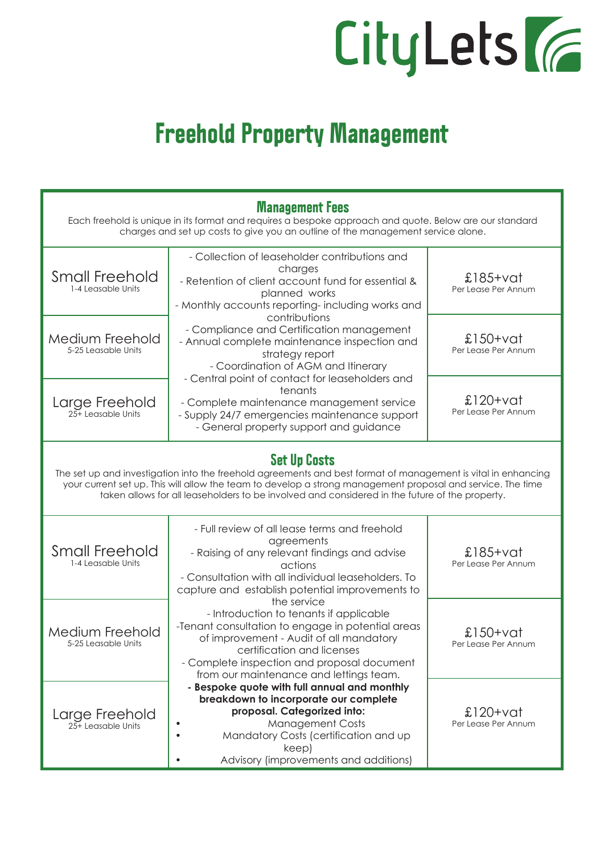## CityLets (6

## **Freehold Property Management**

| <b>Management Fees</b><br>Each freehold is unique in its format and requires a bespoke approach and quote. Below are our standard<br>charges and set up costs to give you an outline of the management service alone.                                                                                                                                 |                                                                                                                                                                                                                                                                                |                                   |  |  |
|-------------------------------------------------------------------------------------------------------------------------------------------------------------------------------------------------------------------------------------------------------------------------------------------------------------------------------------------------------|--------------------------------------------------------------------------------------------------------------------------------------------------------------------------------------------------------------------------------------------------------------------------------|-----------------------------------|--|--|
| <b>Small Freehold</b><br>1-4 Leasable Units                                                                                                                                                                                                                                                                                                           | - Collection of leaseholder contributions and<br>charges<br>- Retention of client account fund for essential &<br>planned works<br>- Monthly accounts reporting-including works and                                                                                            | $$185+vat$<br>Per Lease Per Annum |  |  |
| Medium Freehold<br>5-25 Leasable Units                                                                                                                                                                                                                                                                                                                | contributions<br>- Compliance and Certification management<br>- Annual complete maintenance inspection and<br>strategy report<br>- Coordination of AGM and Itinerary                                                                                                           | $£150+V$<br>Per Lease Per Annum   |  |  |
| Large Freehold<br>25+ Leasable Units                                                                                                                                                                                                                                                                                                                  | - Central point of contact for leaseholders and<br>tenants<br>- Complete maintenance management service<br>- Supply 24/7 emergencies maintenance support<br>- General property support and guidance                                                                            | £120+vat<br>Per Lease Per Annum   |  |  |
| <b>Set Up Costs</b><br>The set up and investigation into the freehold agreements and best format of management is vital in enhancing<br>your current set up. This will allow the team to develop a strong management proposal and service. The time<br>taken allows for all leaseholders to be involved and considered in the future of the property. |                                                                                                                                                                                                                                                                                |                                   |  |  |
| <b>Small Freehold</b><br>1-4 Leasable Units                                                                                                                                                                                                                                                                                                           | - Full review of all lease terms and freehold<br>agreements<br>- Raising of any relevant findings and advise<br>actions<br>- Consultation with all individual leaseholders. To<br>capture and establish potential improvements to                                              | $$185+vat$<br>Per Lease Per Annum |  |  |
| Medium Freehold<br>5-25 Leasable Units                                                                                                                                                                                                                                                                                                                | the service<br>- Introduction to tenants if applicable<br>-Tenant consultation to engage in potential areas<br>of improvement - Audit of all mandatory<br>certification and licenses<br>- Complete inspection and proposal document<br>from our maintenance and lettings team. | £150+vat<br>Per Lease Per Annum   |  |  |
| Large Freehold<br>25+ Leasable Units                                                                                                                                                                                                                                                                                                                  | - Bespoke quote with full annual and monthly<br>breakdown to incorporate our complete<br>proposal. Categorized into:<br><b>Management Costs</b><br>Mandatory Costs (certification and up<br>keep)<br>Advisory (improvements and additions)                                     | £120+vat<br>Per Lease Per Annum   |  |  |